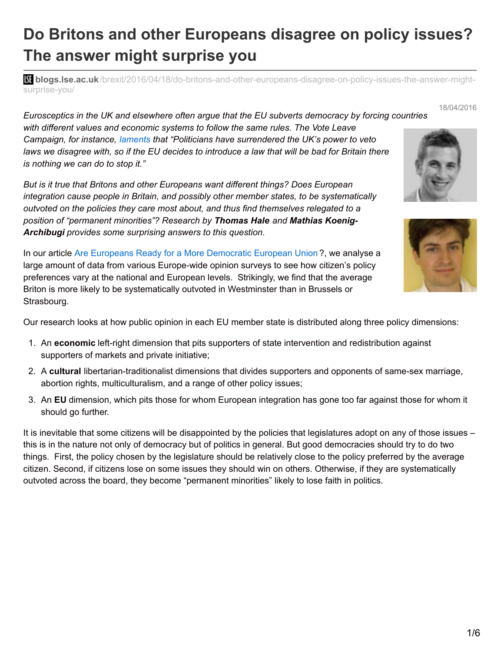## **Do Britons and other Europeans disagree on policy issues? The answer might surprise you**

**blistic blogs.lse.ac.uk**[/brexit/2016/04/18/do-britons-and-other-europeans-disagree-on-policy-issues-the-answer-might](http://blogs.lse.ac.uk/brexit/2016/04/18/do-britons-and-other-europeans-disagree-on-policy-issues-the-answer-might-surprise-you/)surprise-you/

*Eurosceptics in the UK and elsewhere often argue that the EU subverts democracy by forcing countries with different values and economic systems to follow the same rules. The Vote Leave Campaign, for instance, [laments](http://www.voteleavetakecontrol.org/briefing_control) that "Politicians have surrendered the UK's power to veto* laws we disagree with, so if the EU decides to introduce a law that will be bad for Britain there *is nothing we can do to stop it."*

*But is it true that Britons and other Europeans want different things? Does European integration cause people in Britain, and possibly other member states, to be systematically outvoted on the policies they care most about, and thus find themselves relegated to a position of "permanent minorities"? Research by Thomas Hale and Mathias Koenig-Archibugi provides some surprising answers to this question.*

In our article Are Europeans Ready for a More [Democratic](http://onlinelibrary.wiley.com/doi/10.1111/1475-6765.12136/abstract) European Union ?, we analyse a large amount of data from various Europe-wide opinion surveys to see how citizen's policy preferences vary at the national and European levels. Strikingly, we find that the average Briton is more likely to be systematically outvoted in Westminster than in Brussels or Strasbourg.

Our research looks at how public opinion in each EU member state is distributed along three policy dimensions:

- 1. An **economic** left-right dimension that pits supporters of state intervention and redistribution against supporters of markets and private initiative;
- 2. A **cultural** libertarian-traditionalist dimensions that divides supporters and opponents of same-sex marriage, abortion rights, multiculturalism, and a range of other policy issues;
- 3. An **EU** dimension, which pits those for whom European integration has gone too far against those for whom it should go further.

It is inevitable that some citizens will be disappointed by the policies that legislatures adopt on any of those issues – this is in the nature not only of democracy but of politics in general. But good democracies should try to do two things. First, the policy chosen by the legislature should be relatively close to the policy preferred by the average citizen. Second, if citizens lose on some issues they should win on others. Otherwise, if they are systematically outvoted across the board, they become "permanent minorities" likely to lose faith in politics.



18/04/2016

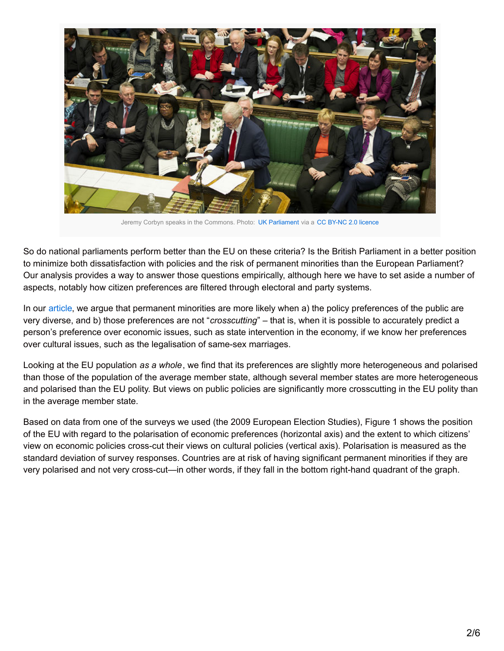

Jeremy Corbyn speaks in the Commons. Photo: UK [Parliament](https://www.flickr.com/photos/uk_parliament/25213244013/) via a CC BY-NC 2.0 [licence](https://creativecommons.org/licenses/by-nc/2.0/)

So do national parliaments perform better than the EU on these criteria? Is the British Parliament in a better position to minimize both dissatisfaction with policies and the risk of permanent minorities than the European Parliament? Our analysis provides a way to answer those questions empirically, although here we have to set aside a number of aspects, notably how citizen preferences are filtered through electoral and party systems.

In our [article](http://onlinelibrary.wiley.com/doi/10.1111/1475-6765.12136/abstract), we argue that permanent minorities are more likely when a) the policy preferences of the public are very diverse, and b) those preferences are not "*crosscutting*" – that is, when it is possible to accurately predict a person's preference over economic issues, such as state intervention in the economy, if we know her preferences over cultural issues, such as the legalisation of same-sex marriages.

Looking at the EU population *as a whole*, we find that its preferences are slightly more heterogeneous and polarised than those of the population of the average member state, although several member states are more heterogeneous and polarised than the EU polity. But views on public policies are significantly more crosscutting in the EU polity than in the average member state.

Based on data from one of the surveys we used (the 2009 European Election Studies), Figure 1 shows the position of the EU with regard to the polarisation of economic preferences (horizontal axis) and the extent to which citizens' view on economic policies cross-cut their views on cultural policies (vertical axis). Polarisation is measured as the standard deviation of survey responses. Countries are at risk of having significant permanent minorities if they are very polarised and not very cross-cut—in other words, if they fall in the bottom right-hand quadrant of the graph.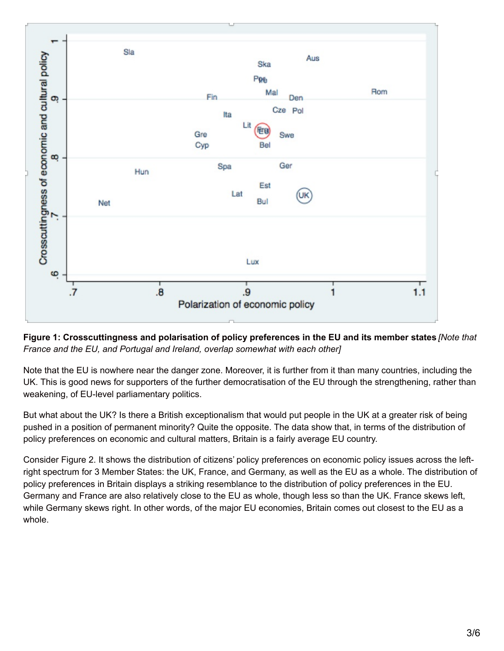

Figure 1: Crosscuttingness and polarisation of policy preferences in the EU and its member states [Note that *France and the EU, and Portugal and Ireland, overlap somewhat with each other]*

Note that the EU is nowhere near the danger zone. Moreover, it is further from it than many countries, including the UK. This is good news for supporters of the further democratisation of the EU through the strengthening, rather than weakening, of EU-level parliamentary politics.

But what about the UK? Is there a British exceptionalism that would put people in the UK at a greater risk of being pushed in a position of permanent minority? Quite the opposite. The data show that, in terms of the distribution of policy preferences on economic and cultural matters, Britain is a fairly average EU country.

Consider Figure 2. It shows the distribution of citizens' policy preferences on economic policy issues across the leftright spectrum for 3 Member States: the UK, France, and Germany, as well as the EU as a whole. The distribution of policy preferences in Britain displays a striking resemblance to the distribution of policy preferences in the EU. Germany and France are also relatively close to the EU as whole, though less so than the UK. France skews left, while Germany skews right. In other words, of the major EU economies, Britain comes out closest to the EU as a whole.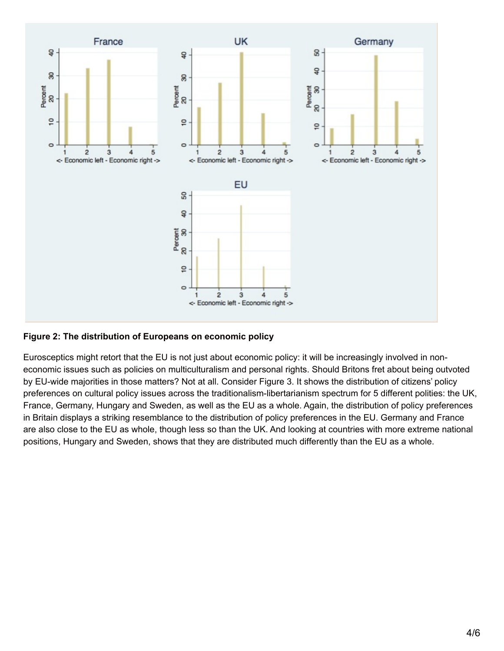

## **Figure 2: The distribution of Europeans on economic policy**

Eurosceptics might retort that the EU is not just about economic policy: it will be increasingly involved in noneconomic issues such as policies on multiculturalism and personal rights. Should Britons fret about being outvoted by EU-wide majorities in those matters? Not at all. Consider Figure 3. It shows the distribution of citizens' policy preferences on cultural policy issues across the traditionalism-libertarianism spectrum for 5 different polities: the UK, France, Germany, Hungary and Sweden, as well as the EU as a whole. Again, the distribution of policy preferences in Britain displays a striking resemblance to the distribution of policy preferences in the EU. Germany and France are also close to the EU as whole, though less so than the UK. And looking at countries with more extreme national positions, Hungary and Sweden, shows that they are distributed much differently than the EU as a whole.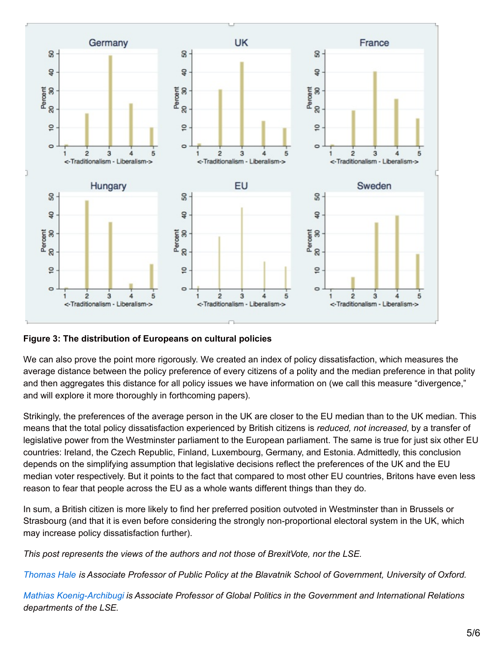

## **Figure 3: The distribution of Europeans on cultural policies**

We can also prove the point more rigorously. We created an index of policy dissatisfaction, which measures the average distance between the policy preference of every citizens of a polity and the median preference in that polity and then aggregates this distance for all policy issues we have information on (we call this measure "divergence," and will explore it more thoroughly in forthcoming papers).

Strikingly, the preferences of the average person in the UK are closer to the EU median than to the UK median. This means that the total policy dissatisfaction experienced by British citizens is *reduced, not increased*, by a transfer of legislative power from the Westminster parliament to the European parliament. The same is true for just six other EU countries: Ireland, the Czech Republic, Finland, Luxembourg, Germany, and Estonia. Admittedly, this conclusion depends on the simplifying assumption that legislative decisions reflect the preferences of the UK and the EU median voter respectively. But it points to the fact that compared to most other EU countries, Britons have even less reason to fear that people across the EU as a whole wants different things than they do.

In sum, a British citizen is more likely to find her preferred position outvoted in Westminster than in Brussels or Strasbourg (and that it is even before considering the strongly non-proportional electoral system in the UK, which may increase policy dissatisfaction further).

*This post represents the views of the authors and not those of BrexitVote, nor the LSE.*

[Thomas](http://www.bsg.ox.ac.uk/people/thomas-hale) Hale is Associate Professor of Public Policy at the Blavatnik School of Government, University of Oxford.

*Mathias [Koenig-Archibugi](http://www.lse.ac.uk/government/whosWho/Academic profiles/mkoenig-archibugi@lseacuk/Home.aspx) is Associate Professor of Global Politics in the Government and International Relations departments of the LSE.*